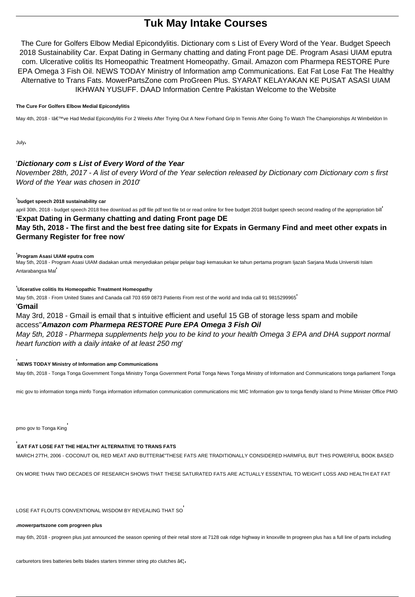# **Tuk May Intake Courses**

The Cure for Golfers Elbow Medial Epicondylitis. Dictionary com s List of Every Word of the Year. Budget Speech 2018 Sustainability Car. Expat Dating in Germany chatting and dating Front page DE. Program Asasi UIAM eputra com. Ulcerative colitis Its Homeopathic Treatment Homeopathy. Gmail. Amazon com Pharmepa RESTORE Pure EPA Omega 3 Fish Oil. NEWS TODAY Ministry of Information amp Communications. Eat Fat Lose Fat The Healthy Alternative to Trans Fats. MowerPartsZone com ProGreen Plus. SYARAT KELAYAKAN KE PUSAT ASASI UIAM IKHWAN YUSUFF. DAAD Information Centre Pakistan Welcome to the Website

#### **The Cure For Golfers Elbow Medial Epicondylitis**

May 4th, 2018 - I've Had Medial Epicondylitis For 2 Weeks After Trying Out A New Forhand Grip In Tennis After Going To Watch The Championships At Wimbeldon In

July'

# '**Dictionary com s List of Every Word of the Year**

November 28th, 2017 - A list of every Word of the Year selection released by Dictionary com Dictionary com s first Word of the Year was chosen in 2010'

#### '**budget speech 2018 sustainability car**

april 30th, 2018 - budget speech 2018 free download as pdf file pdf text file txt or read online for free budget 2018 budget speech second reading of the appropriation bill' '**Expat Dating in Germany chatting and dating Front page DE**

# **May 5th, 2018 - The first and the best free dating site for Expats in Germany Find and meet other expats in Germany Register for free now**'

#### '**Program Asasi UIAM eputra com**

May 5th, 2018 - Program Asasi UIAM diadakan untuk menyediakan pelajar pelajar bagi kemasukan ke tahun pertama program Ijazah Sarjana Muda Universiti Islam Antarabangsa Mal'

'**Ulcerative colitis Its Homeopathic Treatment Homeopathy**

May 5th, 2018 - From United States and Canada call 703 659 0873 Patients From rest of the world and India call 91 9815299965'

### '**Gmail**

# May 3rd, 2018 - Gmail is email that s intuitive efficient and useful 15 GB of storage less spam and mobile access''**Amazon com Pharmepa RESTORE Pure EPA Omega 3 Fish Oil**

May 5th, 2018 - Pharmepa supplements help you to be kind to your health Omega 3 EPA and DHA support normal heart function with a daily intake of at least 250 mg'

#### '**NEWS TODAY Ministry of Information amp Communications**

May 6th, 2018 - Tonga Tonga Government Tonga Ministry Tonga Government Portal Tonga News Tonga Ministry of Information and Communications tonga parliament Tonga

mic gov to information tonga minfo Tonga information information communication communications mic MIC Information gov to tonga fiendly island to Prime Minister Office PMO

pmo gov to Tonga King'

# '**EAT FAT LOSE FAT THE HEALTHY ALTERNATIVE TO TRANS FATS**

MARCH 27TH, 2006 - COCONUT OIL RED MEAT AND BUTTER€"THESE FATS ARE TRADITIONALLY CONSIDERED HARMFUL BUT THIS POWERFUL BOOK BASED

ON MORE THAN TWO DECADES OF RESEARCH SHOWS THAT THESE SATURATED FATS ARE ACTUALLY ESSENTIAL TO WEIGHT LOSS AND HEALTH EAT FAT

LOSE FAT FLOUTS CONVENTIONAL WISDOM BY REVEALING THAT SO

## '**mowerpartszone com progreen plus**

may 6th, 2018 - progreen plus just announced the season opening of their retail store at 7128 oak ridge highway in knoxville tn progreen plus has a full line of parts including